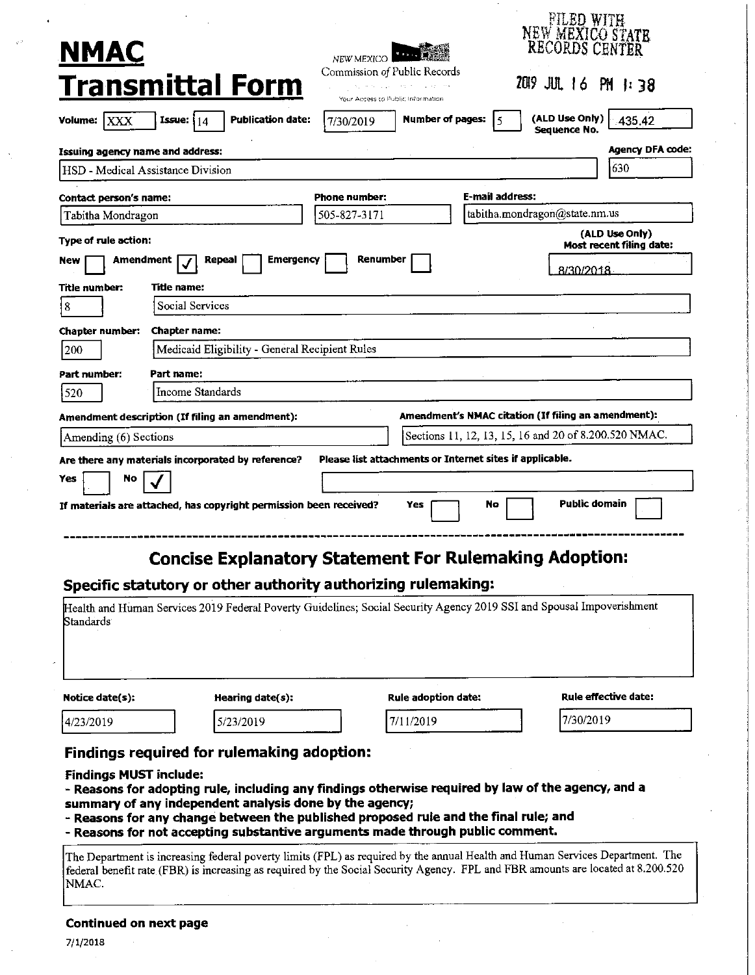| <u>NMAC</u>                                                                                                                                                                                                                                                                                                                                                                                                            |                                            |                                                                                 |                 | <b>FILED WITH</b><br>NEW MEXICO STATE                 |  |
|------------------------------------------------------------------------------------------------------------------------------------------------------------------------------------------------------------------------------------------------------------------------------------------------------------------------------------------------------------------------------------------------------------------------|--------------------------------------------|---------------------------------------------------------------------------------|-----------------|-------------------------------------------------------|--|
| <b>Transmittal Form</b>                                                                                                                                                                                                                                                                                                                                                                                                | NEW MEXICO<br>Commission of Public Records | in Agreement and a contemporary and conte-<br>Your Access to Public Information |                 | 2019 JUL 16 PM 1:38                                   |  |
| <b>Publication date:</b><br> XXX<br>Volume:<br>Issue: $14$                                                                                                                                                                                                                                                                                                                                                             | 7/30/2019                                  | Number of pages:                                                                | 5 ا             | (ALD Use Only)<br>435.42<br>Sequence No.              |  |
| <b>Issuing agency name and address:</b>                                                                                                                                                                                                                                                                                                                                                                                |                                            |                                                                                 |                 | <b>Agency DFA code:</b>                               |  |
| HSD - Medical Assistance Division                                                                                                                                                                                                                                                                                                                                                                                      |                                            |                                                                                 |                 | 630                                                   |  |
| Contact person's name:                                                                                                                                                                                                                                                                                                                                                                                                 | <b>Phone number:</b>                       |                                                                                 | E-mail address: |                                                       |  |
| Tabitha Mondragon                                                                                                                                                                                                                                                                                                                                                                                                      | 505-827-3171                               | tabitha.mondragon@state.nm.us                                                   |                 |                                                       |  |
| Type of rule action:                                                                                                                                                                                                                                                                                                                                                                                                   |                                            |                                                                                 |                 | (ALD Use Only)<br>Most recent filing date:            |  |
| <b>Emergency</b><br>Amendment<br>Repeal<br>new                                                                                                                                                                                                                                                                                                                                                                         | Renumber                                   |                                                                                 |                 | 8/30/2018                                             |  |
| Title number:<br>Title name:                                                                                                                                                                                                                                                                                                                                                                                           |                                            |                                                                                 |                 |                                                       |  |
| Social Services<br> 8                                                                                                                                                                                                                                                                                                                                                                                                  |                                            |                                                                                 |                 |                                                       |  |
| <b>Chapter number:</b><br><b>Chapter name:</b>                                                                                                                                                                                                                                                                                                                                                                         |                                            |                                                                                 |                 |                                                       |  |
| Medicaid Eligibility - General Recipient Rules<br>200                                                                                                                                                                                                                                                                                                                                                                  |                                            |                                                                                 |                 |                                                       |  |
| Part number:<br>Part name:                                                                                                                                                                                                                                                                                                                                                                                             |                                            |                                                                                 |                 |                                                       |  |
| Income Standards<br>520                                                                                                                                                                                                                                                                                                                                                                                                |                                            |                                                                                 |                 |                                                       |  |
| Amendment description (If filing an amendment):                                                                                                                                                                                                                                                                                                                                                                        |                                            |                                                                                 |                 | Amendment's NMAC citation (If filing an amendment):   |  |
| Amending (6) Sections                                                                                                                                                                                                                                                                                                                                                                                                  |                                            |                                                                                 |                 | Sections 11, 12, 13, 15, 16 and 20 of 8.200.520 NMAC. |  |
| Are there any materials incorporated by reference?                                                                                                                                                                                                                                                                                                                                                                     |                                            | Please list attachments or Internet sites if applicable.                        |                 |                                                       |  |
| No<br>Yes                                                                                                                                                                                                                                                                                                                                                                                                              |                                            |                                                                                 |                 |                                                       |  |
| If materials are attached, has copyright permission been received?                                                                                                                                                                                                                                                                                                                                                     |                                            | Yes                                                                             | No              | <b>Public domain</b>                                  |  |
| <b>Concise Explanatory Statement For Rulemaking Adoption:</b><br>Specific statutory or other authority authorizing rulemaking:                                                                                                                                                                                                                                                                                         |                                            |                                                                                 |                 |                                                       |  |
| Health and Human Services 2019 Federal Poverty Guidelines; Social Security Agency 2019 SSI and Spousal Impoverishment<br>Standards I                                                                                                                                                                                                                                                                                   |                                            |                                                                                 |                 |                                                       |  |
| Notice date(s):<br>Hearing date(s):                                                                                                                                                                                                                                                                                                                                                                                    |                                            | Rule adoption date:                                                             |                 | Rule effective date:                                  |  |
| 5/23/2019<br>4/23/2019                                                                                                                                                                                                                                                                                                                                                                                                 |                                            | 7/11/2019                                                                       |                 | 7/30/2019                                             |  |
| Findings required for rulemaking adoption:<br><b>Findings MUST include:</b><br>- Reasons for adopting rule, including any findings otherwise required by law of the agency, and a<br>summary of any independent analysis done by the agency;<br>- Reasons for any change between the published proposed rule and the final rule; and<br>- Reasons for not accepting substantive arguments made through public comment. |                                            |                                                                                 |                 |                                                       |  |
| The Department is increasing federal poverty limits (FPL) as required by the annual Health and Human Services Department. The<br>federal benefit rate (FBR) is increasing as required by the Social Security Agency. FPL and FBR amounts are located at 8.200.520<br>NMAC.                                                                                                                                             |                                            |                                                                                 |                 |                                                       |  |

# **Continued on next page**

7/1/2018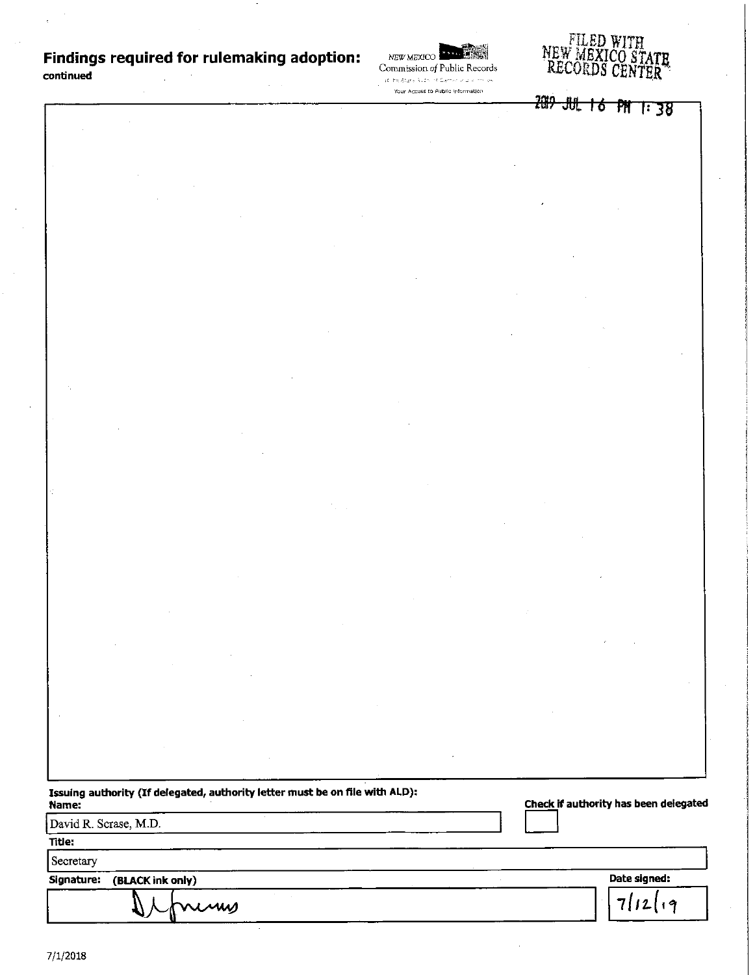# **Findings required for rulemaking adoption:**

**continued** 

NEW MEXICO **limits. Commission of Public Records** 

Your Access to Public Information



2019 JUL 16 PM 1:38

| Issuing authority (If delegated, authority letter must be on file with ALD):<br>Name: | Check if authority has been delegated |
|---------------------------------------------------------------------------------------|---------------------------------------|
| David R. Scrase, M.D.                                                                 |                                       |
| Title:                                                                                |                                       |
| Secretary                                                                             |                                       |
| (BLACK ink only)<br>Signature:                                                        | Date signed:                          |
| Juin                                                                                  | $7112$                                |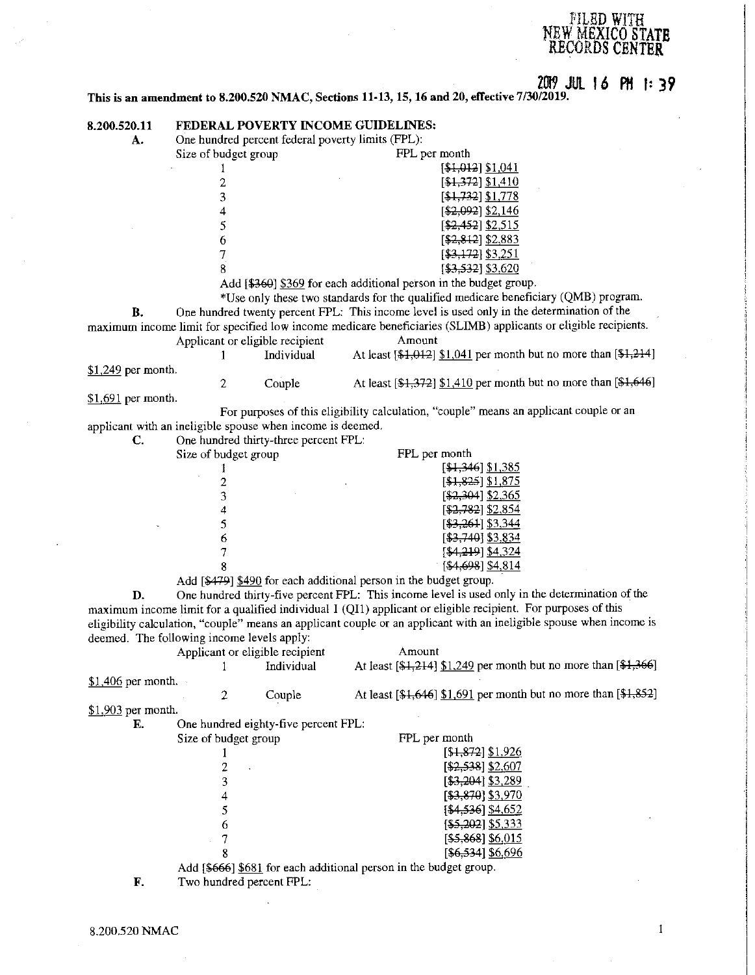### fllLBD **WITH NEW MEXICO STATB RECORDS CENTER**

# **20!9 JUL Io PH f:** *39*

**This is an amendment to 8.200.520 NMAC, Sections 11-13, 15, 16 and 20, effective 7/30/2019.** 

| 8.200.520.11        | FEDERAL POVERTY INCOME GUIDELINES:                         |                                                   |                                                                   |                                                                                                                      |
|---------------------|------------------------------------------------------------|---------------------------------------------------|-------------------------------------------------------------------|----------------------------------------------------------------------------------------------------------------------|
| А.                  |                                                            | One hundred percent federal poverty limits (FPL): |                                                                   |                                                                                                                      |
|                     | Size of budget group                                       |                                                   | FPL per month                                                     |                                                                                                                      |
|                     | 1                                                          |                                                   |                                                                   | [\$1,012] \$1,041                                                                                                    |
|                     | $\overline{c}$                                             |                                                   |                                                                   | [\$1,372] \$1,410                                                                                                    |
|                     | 3                                                          |                                                   |                                                                   | [\$1,732] \$1,778                                                                                                    |
|                     | 4                                                          |                                                   |                                                                   | $[ $2,092]$ \$2,146                                                                                                  |
|                     |                                                            |                                                   |                                                                   | $[$2,452]$ \$2,515                                                                                                   |
|                     | 5                                                          |                                                   |                                                                   |                                                                                                                      |
|                     | 6                                                          |                                                   |                                                                   | $[$2,812]$ \$2,883                                                                                                   |
|                     | 7                                                          |                                                   |                                                                   | $[43, 172]$ \$3,251                                                                                                  |
|                     | 8                                                          |                                                   |                                                                   | $[43,532]$ \$3.620                                                                                                   |
|                     |                                                            |                                                   |                                                                   | Add [\$369] \$369 for each additional person in the budget group.                                                    |
|                     |                                                            |                                                   |                                                                   | *Use only these two standards for the qualified medicare beneficiary (QMB) program.                                  |
| В.                  |                                                            |                                                   |                                                                   | One hundred twenty percent FPL: This income level is used only in the determination of the                           |
|                     |                                                            |                                                   |                                                                   | maximum income limit for specified low income medicare beneficiaries (SLIMB) applicants or eligible recipients.      |
|                     | Applicant or eligible recipient                            |                                                   | Amount                                                            |                                                                                                                      |
|                     |                                                            | Individual                                        |                                                                   | At least $[4,012]$ \$1,041 per month but no more than $[4,214]$                                                      |
|                     |                                                            |                                                   |                                                                   |                                                                                                                      |
| $$1,249$ per month. |                                                            |                                                   |                                                                   |                                                                                                                      |
|                     | $\overline{2}$                                             | Couple                                            |                                                                   | At least $[\frac{1372}{1372}]$ \$1,410 per month but no more than $[\frac{164}{646}]$                                |
| $$1,691$ per month. |                                                            |                                                   |                                                                   |                                                                                                                      |
|                     |                                                            |                                                   |                                                                   | For purposes of this eligibility calculation, "couple" means an applicant couple or an                               |
|                     | applicant with an ineligible spouse when income is deemed. |                                                   |                                                                   |                                                                                                                      |
| C.                  | One hundred thirty-three percent FPL:                      |                                                   |                                                                   |                                                                                                                      |
|                     | Size of budget group                                       |                                                   | FPL per month                                                     |                                                                                                                      |
|                     | 1                                                          |                                                   |                                                                   | $[41,346]$ \$1,385                                                                                                   |
|                     | $\overline{c}$                                             |                                                   |                                                                   | $[$1,825]$ $$1,875$                                                                                                  |
|                     | 3                                                          |                                                   |                                                                   | [ <del>\$2,304</del> ] <u>\$2,365</u>                                                                                |
|                     | 4                                                          |                                                   |                                                                   | [\$2,782] \$2,854                                                                                                    |
|                     | 5                                                          |                                                   |                                                                   | [\$3,261] \$3,344                                                                                                    |
|                     | 6                                                          |                                                   |                                                                   | [\$3,740] \$3,834                                                                                                    |
|                     |                                                            |                                                   |                                                                   |                                                                                                                      |
|                     | 7                                                          |                                                   |                                                                   | [\$4,219] \$4,324                                                                                                    |
|                     | 8                                                          |                                                   |                                                                   | [\$4,698] \$4,814                                                                                                    |
|                     |                                                            |                                                   | Add [\$479] \$490 for each additional person in the budget group. |                                                                                                                      |
| D.                  |                                                            |                                                   |                                                                   | One hundred thirty-five percent FPL: This income level is used only in the determination of the                      |
|                     |                                                            |                                                   |                                                                   | maximum income limit for a qualified individual I (QI1) applicant or eligible recipient. For purposes of this        |
|                     |                                                            |                                                   |                                                                   | eligibility calculation, "couple" means an applicant couple or an applicant with an ineligible spouse when income is |
|                     | deemed. The following income levels apply:                 |                                                   |                                                                   |                                                                                                                      |
|                     | Applicant or eligible recipient                            |                                                   | Amount                                                            |                                                                                                                      |
|                     | 1                                                          | Individual                                        |                                                                   | At least [\$1,214] \$1.249 per month but no more than [\$1,366]                                                      |
| $$1,406$ per month. |                                                            |                                                   |                                                                   |                                                                                                                      |
|                     |                                                            | Couple                                            |                                                                   | At least $[4,646]$ \$1,691 per month but no more than $[4,852]$                                                      |
|                     | 2                                                          |                                                   |                                                                   |                                                                                                                      |
| \$1,903 per month.  |                                                            |                                                   |                                                                   |                                                                                                                      |
| Е.                  | One hundred eighty-five percent FPL:                       |                                                   |                                                                   |                                                                                                                      |
|                     | Size of budget group                                       |                                                   | FPL per month                                                     |                                                                                                                      |
|                     |                                                            |                                                   |                                                                   | [\$ <del>1,872</del> ] <u>\$1,926</u>                                                                                |
|                     | $\overline{c}$                                             |                                                   |                                                                   | $[ $2,538]$ \$2,607                                                                                                  |
|                     | 3                                                          |                                                   |                                                                   | [\$3,204] \$3,289                                                                                                    |
|                     |                                                            |                                                   |                                                                   | [\$3,870] \$3,970                                                                                                    |
|                     | 5                                                          |                                                   |                                                                   | $[4,536]$ \$4,652                                                                                                    |
|                     | 6                                                          |                                                   |                                                                   | $[$ \$5,202] \$5,333                                                                                                 |
|                     |                                                            |                                                   |                                                                   | $[$ \$5,868] \$6,015                                                                                                 |
|                     | 7                                                          |                                                   |                                                                   |                                                                                                                      |
|                     | 8                                                          |                                                   |                                                                   | [\$6,534] \$6,696                                                                                                    |
|                     |                                                            |                                                   | Add [\$666] \$681 for each additional person in the budget group. |                                                                                                                      |
| F.                  | Two hundred percent FPL:                                   |                                                   |                                                                   |                                                                                                                      |

 $\mathbbm{1}$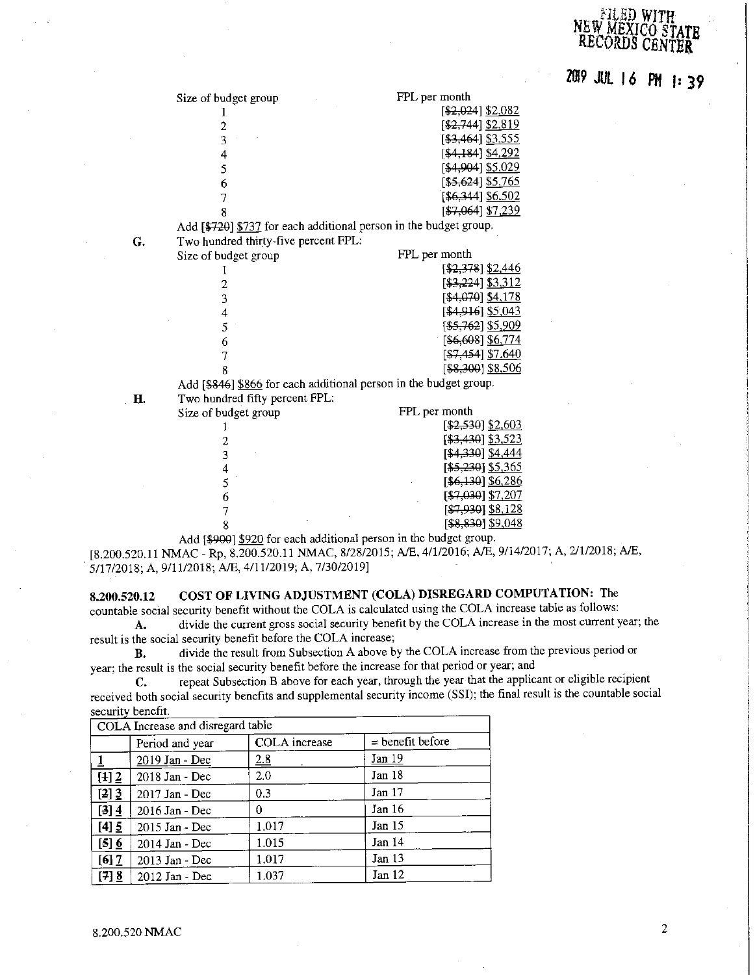### NLED WIT  $NEW$  MEXI RECORDS

20!9 JUL **16 P11 f1** *39* 

| Size of budget group | FPL per month                                                     |
|----------------------|-------------------------------------------------------------------|
|                      | [\$2,024] \$2,082                                                 |
|                      | [ <del>\$2,744</del> ] \$2 <u>,819</u>                            |
|                      | [ <del>\$3,464</del> ] \$3,555                                    |
| 4                    | [\$4,184] \$4,292                                                 |
|                      | [\$4,904] <u>\$5,029</u>                                          |
| 6                    | 55,624 \$5,765                                                    |
|                      | [\$6,344] \$6,502                                                 |
| 8                    | [\$7,064] \$7,239                                                 |
|                      | Add [\$720] \$737 for each additional person in the budget group. |

| G. | Two hundred thirty-five percent FPL:                              |                                       |
|----|-------------------------------------------------------------------|---------------------------------------|
|    | Size of budget group                                              | FPL per month                         |
|    |                                                                   | $[$2,378]$ \$2,446                    |
|    |                                                                   | [ <del>\$3,22</del> 4] \$3,312        |
|    | 3                                                                 | [\$4,070] \$4,178                     |
|    |                                                                   | $[$4,916]$ \$5,043                    |
|    |                                                                   | [\$5,762] \$5,909                     |
|    | 6                                                                 | [\$6,608] \$6,774                     |
|    |                                                                   | [ <del>\$7,454</del> ] <u>\$7,640</u> |
|    |                                                                   | [\$8,300] \$8,506                     |
|    | Add [\$846] \$866 for each additional person in the budget group. |                                       |

**H.** Two hundred fifty percent FPL:

| Size of budget group | FPL per month      |
|----------------------|--------------------|
|                      | [\$2,530] \$2,603  |
|                      | [\$3,430] \$3,523  |
|                      | [\$4,330] \$4,444  |
|                      | $[$5,230]$ \$5,365 |
|                      | [\$6,130] \$6,286  |
| 6                    | $[$7,030]$ \$7,207 |
|                      | [\$7,930] \$8,128  |
|                      | 58,830] \$9,048    |
|                      |                    |

Add [\$9001 \$920 for each additional person in the budget group. [8.200.520.11 NMAC - Rp, 8.200.520.11 NMAC, 8/28/2015; A/E, 4/1/2016; A/E, 9/14/2017; A, 2/1/2018; A/E, . 5/17/2018; A, 9/11/2018; A/E, 4/11/2019; A, 7/30/2019]

# **8.200.520.12 COST OF LIVING ADJUSTMENT (COLA) DISREGARD COMPUTATION:** The

countable social security benefit without the COLA is calculated using the COLA increase table as follows: **A.** divide the current gross social security benefit by the COLA increase in the most current year; the

result is the social security benefit before the COLA increase;

**B.** divide the result from Subsection A above by the COLA increase from the previous period or **year; the result is the social security benefit before the increase for that period or year; and** 

**C.** repeat Subsection B above for each year, through the year that the applicant or eligible recipient received both social security benefits and supplemental security income (SSI); the final result is the countable social security benefit.

| COLA Increase and disregard table |                 |                      |                    |
|-----------------------------------|-----------------|----------------------|--------------------|
|                                   | Period and year | <b>COLA</b> increase | $=$ benefit before |
|                                   | 2019 Jan - Dec  | 2.8                  | Jan 19             |
| $[4]$ 2                           | 2018 Jan - Dec  | 2.0                  | Jan 18             |
| [2] 3                             | 2017 Jan - Dec  | 0.3                  | Jan 17             |
| $[3] 4$                           | 2016 Jan - Dec  | 0                    | Jan 16             |
| $[4]$ 5                           | 2015 Jan - Dec  | 1.017                | Jan 15             |
| $[5]$ 6                           | 2014 Jan - Dec  | 1.015                | Jan 14             |
| $[6]$ $\overline{2}$              | 2013 Jan - Dec  | 1.017                | Jan $13$           |
| $[7]$ 8                           | 2012 Jan - Dec  | 1.037                | Jan 12             |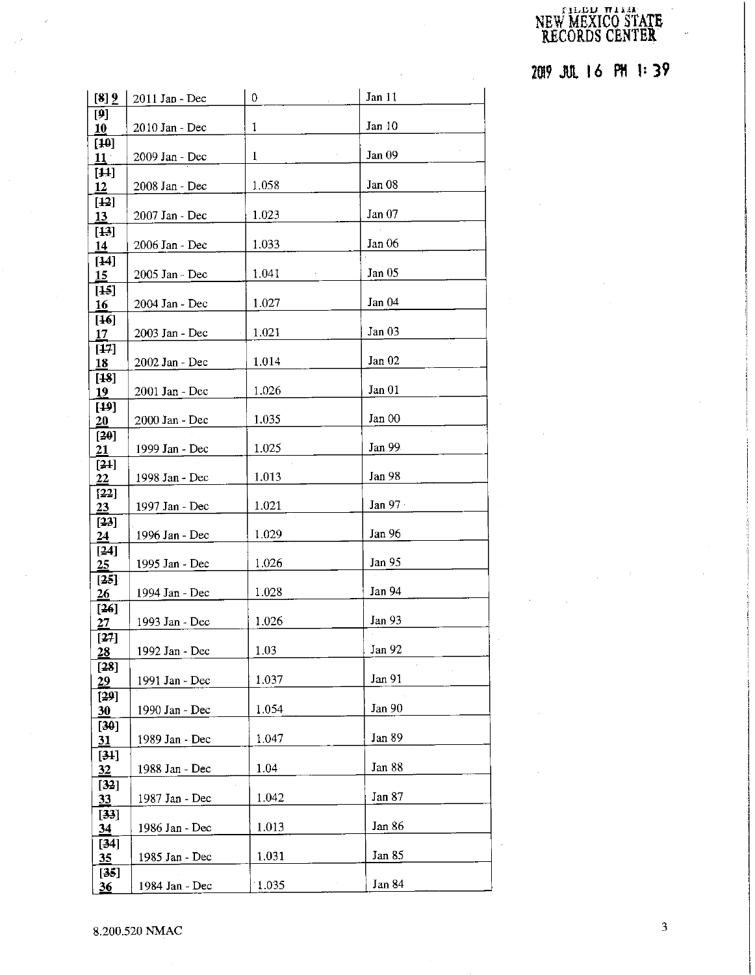#### $[11,11]$  Tilla NEW MEXICO STATE RECORDS CENTER.

2019 JUL 16 PH 1:39

| [8] 9                      | 2011 Jan - Dec | $\mathbf 0$ | Jan 11            |
|----------------------------|----------------|-------------|-------------------|
| $[9]$<br>10                | 2010 Jan - Dec | 1           | Jan 10            |
| $[40]$                     |                |             |                   |
| $11^{\circ}$               | 2009 Jan - Dec | 1           | Jan 09            |
| $[44]$<br>12               | 2008 Jan - Dec | 1.058       | Jan 08            |
| $[12]$<br><u>13</u>        | 2007 Jan - Dec | 1.023       | Jan $07$          |
| $[43]$<br>14               | 2006 Jan - Dec | 1.033       | Jan 06            |
| $[14]$<br>15               | 2005 Jan - Dec | 1.041       | Jan <sub>05</sub> |
| $[45]$<br><u>16</u>        | 2004 Jan - Dec | 1.027       | Jan 04            |
| $[46]$<br><u>17</u>        | 2003 Jan - Dec | 1.021       | Jan 03            |
| [17]<br><u>18</u>          | 2002 Jan - Dec | 1.014       | Jan 02            |
| $[48]$<br>19               | 2001 Jan - Dec | 1.026       | Jan 01            |
| $[19]$<br>20               | 2000 Jan - Dec | 1.035       | Jan 00            |
| [20]<br>21                 | 1999 Jan - Dec | 1.025       | Jan 99            |
| $[21]$<br>22               | 1998 Jan - Dec | 1.013       | Jan 98            |
| [22]<br>23                 | 1997 Jan - Dec | 1.021       | Jan $971$         |
| [23]<br>24                 | 1996 Jan - Dec | 1.029       | Jan 96            |
| $[24]$<br>25               | 1995 Jan - Dec | 1.026       | Jan 95            |
| [25]<br>26                 | 1994 Jan - Dec | 1.028       | Jan 94            |
| $[26]$<br>27               | 1993 Jan - Dec | 1.026       | Jan 93            |
| [27]<br>$\overline{28}$    | 1992 Jan - Dec | 1.03        | Jan 92            |
| $[28]$<br>$\underline{29}$ | 1991 Jan - Dec | 1.037       | Jan 91            |
| [29]<br>30                 | 1990 Jan - Dec | 1.054       | Jan 90            |
| $[30]$<br>31               | 1989 Jan - Dec | 1.047       | Jan 89            |
| $[34]$<br>32               | 1988 Jan - Dec | $1.04 -$    | Jan 88            |
| [32]<br>33                 | 1987 Jan - Dec | 1.042       | Jan 87            |
| [33]<br>34                 | 1986 Jan - Dec | 1.013       | Jan 86            |
| $[34]$<br><u>35</u>        | 1985 Jan - Dec | 1.031       | Jan 85            |
| $[35]$<br>$\underline{36}$ | 1984 Jan - Dec | 1.035       | Jan 84            |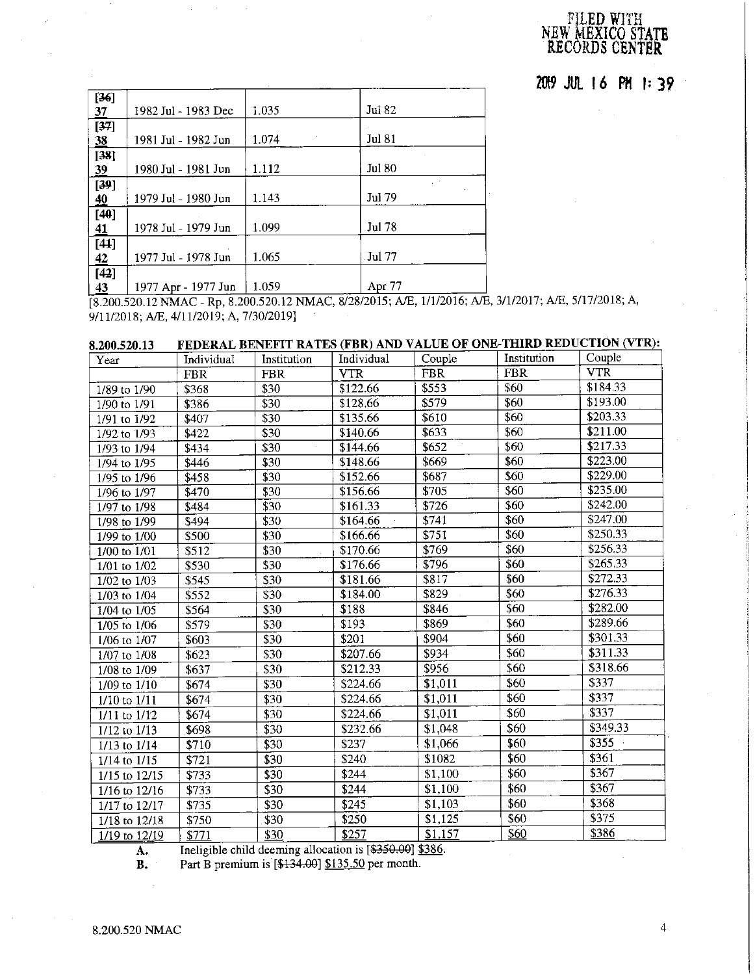# FJLED WJTH NEW **MEXICO STATE RECORDS CENTER**

**20!9 JUL** I **6 PH** I: 39

| $[36]$<br>37 | 1982 Jul - 1983 Dec | 1.035 | Jul 82        |
|--------------|---------------------|-------|---------------|
| [37]<br>38   | 1981 Jul - 1982 Jun | 1.074 | <b>Jul 81</b> |
| $[38]$<br>39 | 1980 Jul - 1981 Jun | 1.112 | <b>Jul 80</b> |
| [39]<br>40   | 1979 Jul - 1980 Jun | 1.143 | Jul 79        |
| $[40]$<br>41 | 1978 Jul - 1979 Jun | 1.099 | <b>Jul 78</b> |
| $[44]$<br>42 | 1977 Jul - 1978 Jun | 1.065 | <b>Jul 77</b> |
| [42]<br>43   | 1977 Apr - 1977 Jun | 1.059 | Apr 77        |

[8.200.520.12 NMAC - Rp, 8.200.520.12 NMAC, 8/28/2015; A/E, 1/1/2016; A/E, 3/1/2017; A/E, 5/17/2018; A, 9/11/2018; A/E, 4/11/2019; A, 7/30/2019]

| 8.200.520.13            |            |                  |            |            |             | FEDERAL BENEFIT RATES (FBR) AND VALUE OF ONE-THIRD REDUCTION (VTR): |
|-------------------------|------------|------------------|------------|------------|-------------|---------------------------------------------------------------------|
| Year                    | Individual | Institution      | Individual | Couple     | Institution | Couple                                                              |
|                         | <b>FBR</b> | <b>FBR</b>       | <b>VTR</b> | <b>FBR</b> | <b>FBR</b>  | <b>VTR</b>                                                          |
| 1/89 to 1/90            | \$368      | \$30             | \$122.66   | \$553      | \$60        | \$184.33                                                            |
| 1/90 to 1/91            | \$386      | \$30             | \$128.66   | \$579      | \$60        | \$193.00                                                            |
| 1/91 to 1/92            | \$407      | \$30             | \$135.66   | \$610      | \$60        | \$203.33                                                            |
| 1/92 to 1/93            | \$422      | \$30             | \$140.66   | \$633      | \$60        | \$211.00                                                            |
| 1/93 to 1/94            | \$434      | \$30             | \$144.66   | \$652      | \$60        | \$217.33                                                            |
| 1/94 to 1/95            | \$446      | \$30             | \$148.66   | \$669      | \$60        | \$223.00                                                            |
| 1/95 to 1/96            | \$458      | \$30             | \$152.66   | \$687      | \$60        | \$229.00                                                            |
| 1/96 to 1/97            | \$470      | \$30             | \$156.66   | \$705      | \$60        | \$235.00                                                            |
| 1/97 to 1/98            | \$484      | \$30             | \$161.33   | \$726      | \$60        | \$242.00                                                            |
| 1/98 to 1/99            | \$494      | $\overline{$}30$ | \$164.66   | \$741      | \$60        | \$247.00                                                            |
| 1/99 to 1/00            | \$500      | \$30             | \$166.66   | \$751      | \$60        | \$250.33                                                            |
| 1/00 to 1/01            | \$512      | \$30             | \$170.66   | \$769      | \$60        | \$256.33                                                            |
| 1/01 to 1/02            | \$530      | \$30             | \$176.66   | \$796      | \$60        | \$265.33                                                            |
| 1/02 to 1/03            | \$545      | \$30             | \$181.66   | \$817      | \$60        | \$272.33                                                            |
| 1/03 to 1/04            | \$552      | \$30             | \$184.00   | \$829      | \$60        | \$276.33                                                            |
| $1/04$ to $1/05$        | \$564      | \$30             | \$188      | \$846      | \$60        | \$282.00                                                            |
| 1/05 to 1/06            | \$579      | \$30             | \$193      | \$869      | \$60        | \$289.66                                                            |
| 1/06 to 1/07            | \$603      | \$30             | \$201      | \$904      | \$60        | \$301.33                                                            |
| 1/07 to 1/08            | \$623      | \$30             | \$207.66   | \$934      | \$60        | \$311.33                                                            |
| 1/08 to 1/09            | \$637      | \$30             | \$212.33   | \$956      | \$60        | \$318.66                                                            |
| 1/09 to 1/10            | \$674      | \$30             | \$224.66   | \$1,011    | \$60        | \$337                                                               |
| 1/10 to 1/11            | \$674      | \$30             | \$224.66   | \$1,011    | \$60        | \$337                                                               |
| $1/11$ to $1/12$        | \$674      | \$30             | \$224.66   | \$1,011    | \$60        | \$337                                                               |
| 1/12 to 1/13            | \$698      | \$30             | \$232.66   | \$1,048    | \$60        | \$349.33                                                            |
| 1/13 to 1/14            | \$710      | \$30             | \$237      | \$1,066    | \$60        | \$355                                                               |
| 1/14 to 1/15            | \$721      | \$30             | \$240      | \$1082     | \$60        | \$361                                                               |
| 1/15 to 12/15           | \$733      | \$30             | \$244      | \$1,100    | \$60        | \$367                                                               |
| $\frac{1}{16}$ to 12/16 | \$733      | \$30             | \$244      | \$1,100    | \$60        | \$367                                                               |
| 1/17 to 12/17           | \$735      | \$30             | \$245      | \$1,103    | \$60        | \$368                                                               |
| 1/18 to 12/18           | \$750      | \$30             | \$250      | \$1,125    | \$60        | \$375                                                               |
| 1/19 to 12/19           | \$771      | \$30             | \$257      | \$1,157    | \$60        | \$386                                                               |

A. Ineligible child deeming allocation is [\$350.00] \$386.

**B.** Part  $\overrightarrow{B}$  premium is  $[$134.00]$   $$135.50$  per month.